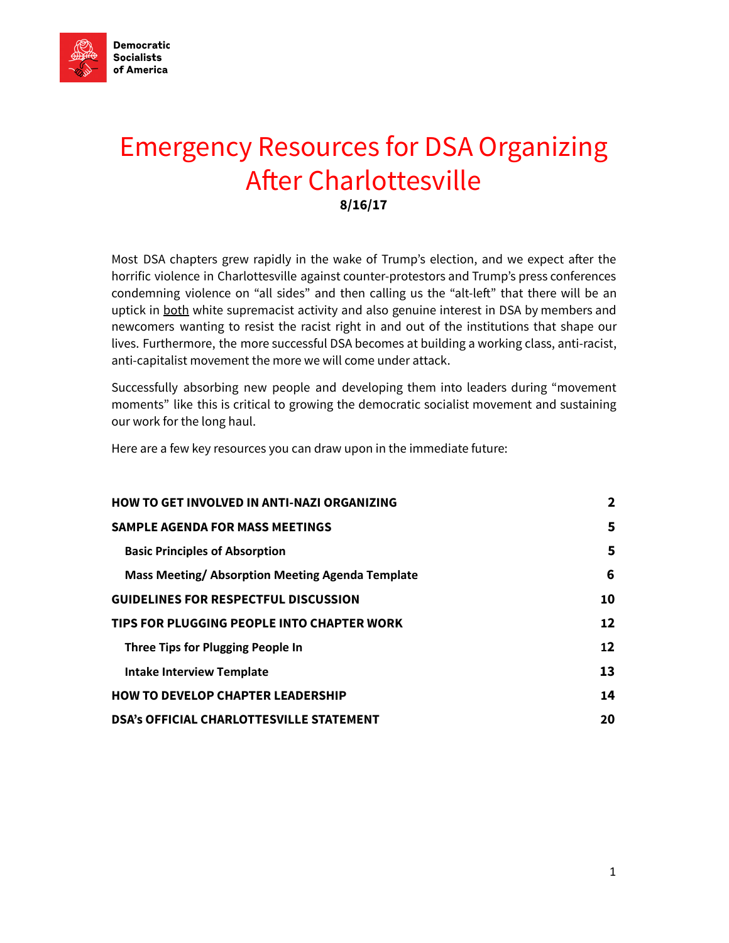

# Emergency Resources for DSA Organizing After Charlottesville 8/16/17

Most DSA chapters grew rapidly in the wake of Trump's election, and we expect after the horrific violence in Charlottesville against counter-protestors and Trump's press conferences condemning violence on "all sides" and then calling us the "alt-left" that there will be an uptick in both white supremacist activity and also genuine interest in DSA by members and newcomers wanting to resist the racist right in and out of the institutions that shape our lives. Furthermore, the more successful DSA becomes at building a working class, anti-racist, anti-capitalist movement the more we will come under attack.

Successfully absorbing new people and developing them into leaders during "movement moments" like this is critical to growing the democratic socialist movement and sustaining our work for the long haul.

Here are a few key resources you can draw upon in the immediate future:

| <b>HOW TO GET INVOLVED IN ANTI-NAZI ORGANIZING</b> | $\mathbf{2}$      |
|----------------------------------------------------|-------------------|
| <b>SAMPLE AGENDA FOR MASS MEETINGS</b>             | 5                 |
| <b>Basic Principles of Absorption</b>              | 5                 |
| Mass Meeting/Absorption Meeting Agenda Template    | 6                 |
| <b>GUIDELINES FOR RESPECTFUL DISCUSSION</b>        | 10                |
| TIPS FOR PLUGGING PEOPLE INTO CHAPTER WORK         | 12                |
| Three Tips for Plugging People In                  | $12 \overline{ }$ |
| <b>Intake Interview Template</b>                   | 13                |
| <b>HOW TO DEVELOP CHAPTER LEADERSHIP</b>           | 14                |
| <b>DSA's OFFICIAL CHARLOTTESVILLE STATEMENT</b>    | 20                |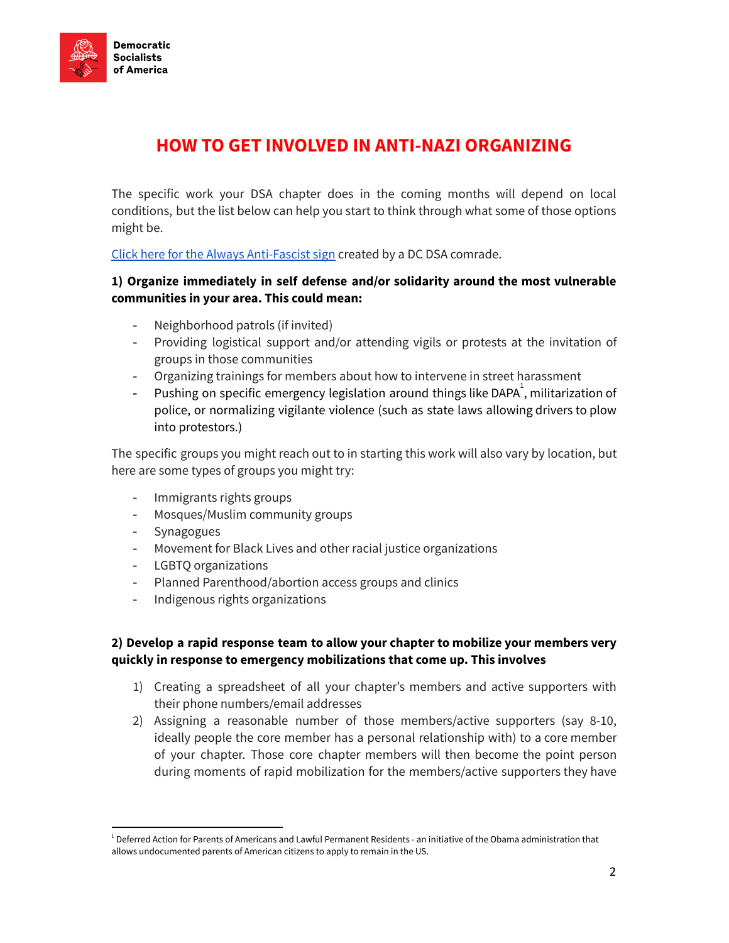

# <span id="page-1-0"></span>HOW TO GET INVOLVED IN ANTI-NAZI ORGANIZING

The specific work your DSA chapter does in the coming months will depend on local conditions, but the list below can help you start to think through what some of those options might be.

Click here for the Always [Anti-Fascist](https://www.dropbox.com/s/83ldr3h8dtsibyi/Always%20Antifascist.pdf?dl=0) sign created by a DC DSA comrade.

### 1) Organize immediately in self defense and/or solidarity around the most vulnerable communities in your area. This could mean:

- Neighborhood patrols (if invited)
- Providing logistical support and/or attending vigils or protests at the invitation of groups in those communities
- Organizing trainings for members about how to intervene in street harassment
- Pushing on specific emergency legislation around things like DAPA<sup>1</sup>, militarization of police, or normalizing vigilante violence (such as state laws allowing drivers to plow into protestors.)

The specific groups you might reach out to in starting this work will also vary by location, but here are some types of groups you might try:

- Immigrants rights groups
- Mosques/Muslim community groups
- Synagogues
- Movement for Black Lives and other racial justice organizations
- LGBTQ organizations
- Planned Parenthood/abortion access groups and clinics
- Indigenous rights organizations

### 2) Develop a rapid response team to allow your chapter to mobilize your members very quickly in response to emergency mobilizations that come up. This involves

- 1) Creating a spreadsheet of all your chapter's members and active supporters with their phone numbers/email addresses
- 2) Assigning a reasonable number of those members/active supporters (say 8-10, ideally people the core member has a personal relationship with) to a core member of your chapter. Those core chapter members will then become the point person during moments of rapid mobilization for the members/active supporters they have

 $1$  Deferred Action for Parents of Americans and Lawful Permanent Residents - an initiative of the Obama administration that allows undocumented parents of American citizens to apply to remain in the US.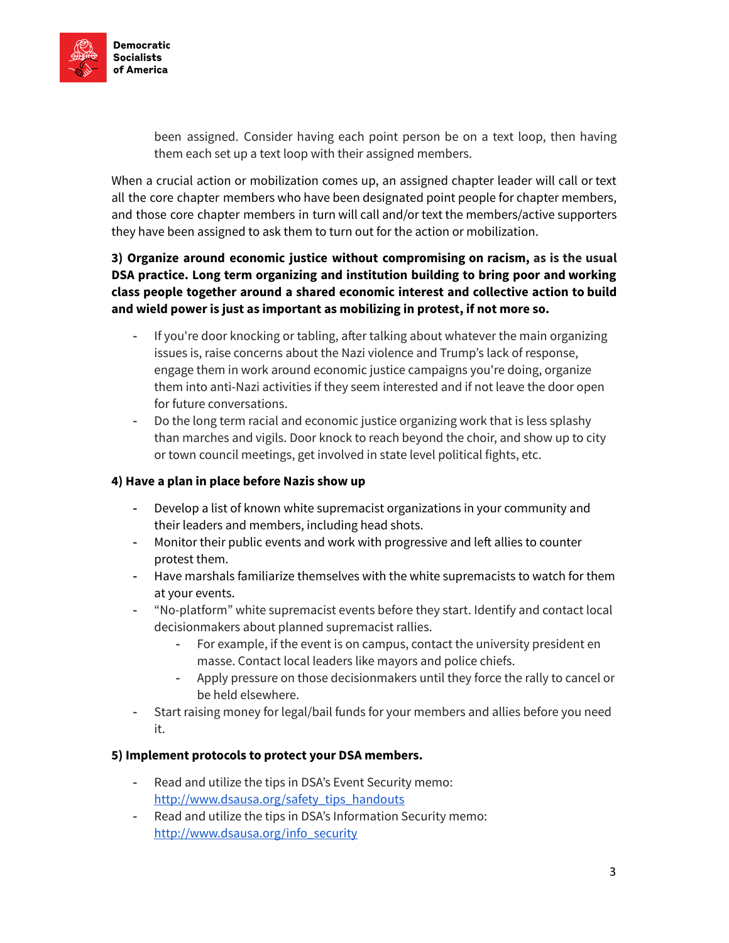

been assigned. Consider having each point person be on a text loop, then having them each set up a text loop with their assigned members.

When a crucial action or mobilization comes up, an assigned chapter leader will call or text all the core chapter members who have been designated point people for chapter members, and those core chapter members in turn will call and/or text the members/active supporters they have been assigned to ask them to turn out for the action or mobilization.

### 3) Organize around economic justice without compromising on racism, as is the usual DSA practice. Long term organizing and institution building to bring poor and working class people together around a shared economic interest and collective action to build and wield power is just as important as mobilizing in protest, if not more so.

- If you're door knocking or tabling, after talking about whatever the main organizing issues is, raise concerns about the Nazi violence and Trump's lack of response, engage them in work around economic justice campaigns you're doing, organize them into anti-Nazi activities if they seem interested and if not leave the door open for future conversations.
- Do the long term racial and economic justice organizing work that is less splashy than marches and vigils. Door knock to reach beyond the choir, and show up to city or town council meetings, get involved in state level political fights, etc.

### 4) Have a plan in place before Nazis show up

- Develop a list of known white supremacist organizations in your community and their leaders and members, including head shots.
- Monitor their public events and work with progressive and left allies to counter protest them.
- Have marshals familiarize themselves with the white supremacists to watch for them at your events.
- "No-platform" white supremacist events before they start. Identify and contact local decisionmakers about planned supremacist rallies.
	- For example, if the event is on campus, contact the university president en masse. Contact local leaders like mayors and police chiefs.
	- Apply pressure on those decisionmakers until they force the rally to cancel or be held elsewhere.
- Start raising money for legal/bail funds for your members and allies before you need it.

### 5) Implement protocols to protect your DSA members.

- Read and utilize the tips in DSA's Event Security memo: [http://www.dsausa.org/safety\\_tips\\_handouts](http://www.dsausa.org/safety_tips_handouts)
- Read and utilize the tips in DSA's Information Security memo: [http://www.dsausa.org/info\\_security](http://www.dsausa.org/info_security)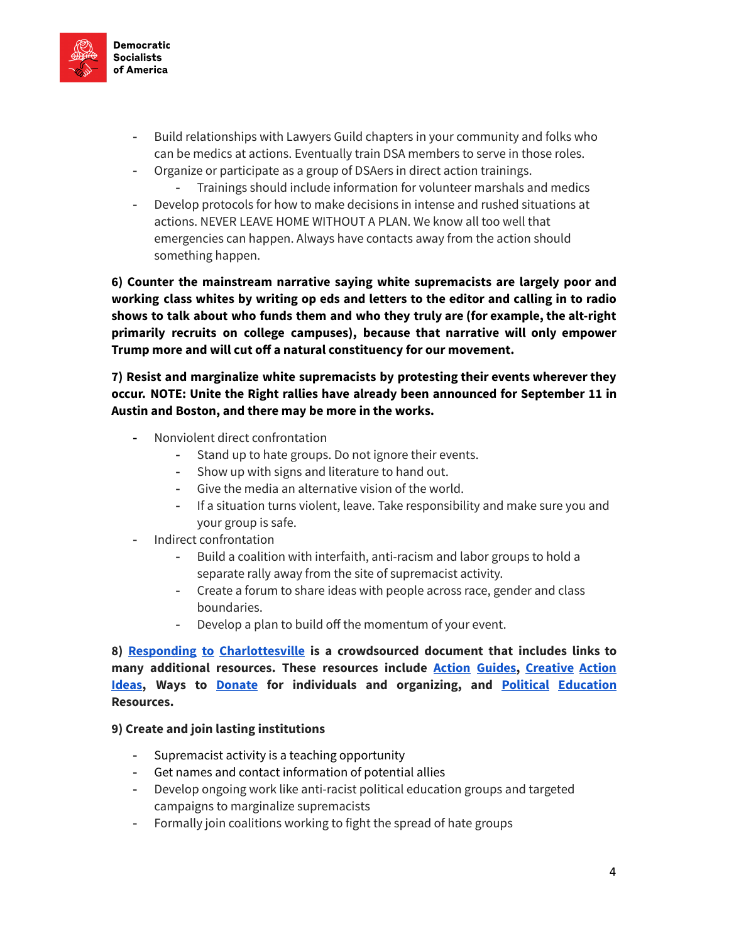

- Build relationships with Lawyers Guild chapters in your community and folks who can be medics at actions. Eventually train DSA members to serve in those roles.
- Organize or participate as a group of DSAers in direct action trainings.
	- Trainings should include information for volunteer marshals and medics
- Develop protocols for how to make decisions in intense and rushed situations at actions. NEVER LEAVE HOME WITHOUT A PLAN. We know all too well that emergencies can happen. Always have contacts away from the action should something happen.

6) Counter the mainstream narrative saying white supremacists are largely poor and working class whites by writing op eds and letters to the editor and calling in to radio shows to talk about who funds them and who they truly are (for example, the alt-right primarily recruits on college campuses), because that narrative will only empower Trump more and will cut off a natural constituency for our movement.

7) Resist and marginalize white supremacists by protesting their events wherever they occur. NOTE: Unite the Right rallies have already been announced for September 11 in Austin and Boston, and there may be more in the works.

- Nonviolent direct confrontation
	- Stand up to hate groups. Do not ignore their events.
	- Show up with signs and literature to hand out.
	- Give the media an alternative vision of the world.
	- If a situation turns violent, leave. Take responsibility and make sure you and your group is safe.
- Indirect confrontation
	- Build a coalition with interfaith, anti-racism and labor groups to hold a separate rally away from the site of supremacist activity.
	- Create a forum to share ideas with people across race, gender and class boundaries.
	- Develop a plan to build off the momentum of your event.

8) Responding to [Charlottesville](https://docs.google.com/document/d/1SDQCaUxFCGfn5wigkYG0blc8jsHS9_jgYtxhsxcmbrE/edit) is a crowdsourced document that includes links to many additional resources. These resources include **Action Guides**, [Creative](https://docs.google.com/document/d/1SDQCaUxFCGfn5wigkYG0blc8jsHS9_jgYtxhsxcmbrE/edit#heading=h.3okth2e2o4n6) Action **[Ideas](https://docs.google.com/document/d/1SDQCaUxFCGfn5wigkYG0blc8jsHS9_jgYtxhsxcmbrE/edit#heading=h.3okth2e2o4n6), Ways to [Donate](https://docs.google.com/document/d/1SDQCaUxFCGfn5wigkYG0blc8jsHS9_jgYtxhsxcmbrE/edit#heading=h.6rl47vm7x3d3) for individuals and organizing, and Political [Education](https://docs.google.com/document/d/1SDQCaUxFCGfn5wigkYG0blc8jsHS9_jgYtxhsxcmbrE/edit#heading=h.5od7f5mql0kf)** Resources.

### 9) Create and join lasting institutions

- Supremacist activity is a teaching opportunity
- Get names and contact information of potential allies
- Develop ongoing work like anti-racist political education groups and targeted campaigns to marginalize supremacists
- Formally join coalitions working to fight the spread of hate groups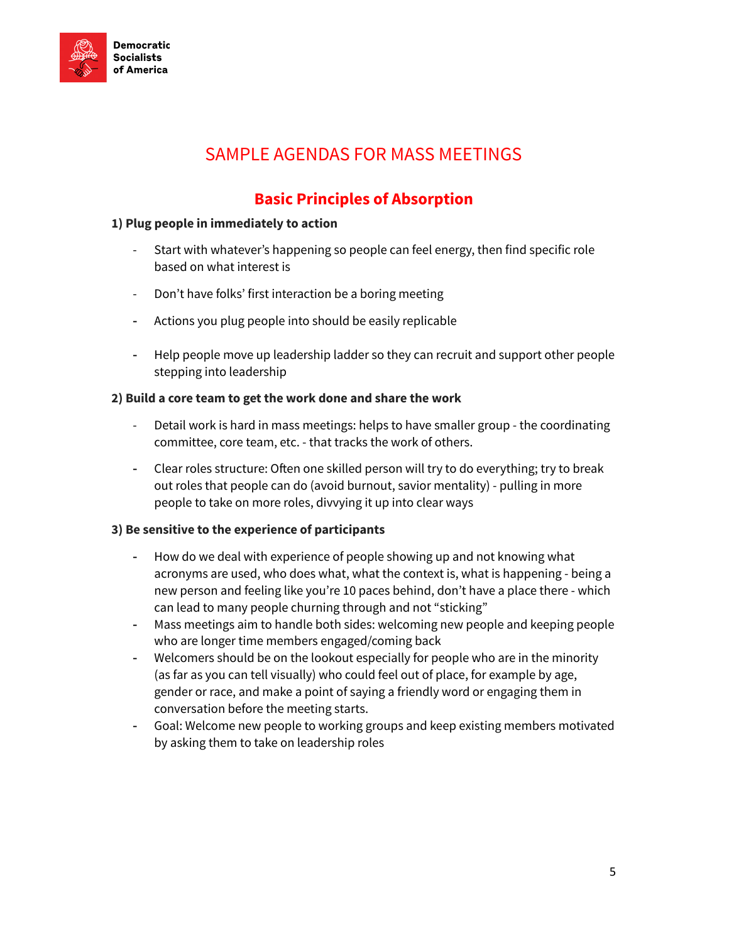

# SAMPLE AGENDAS FOR MASS MEETINGS

### Basic Principles of Absorption

### <span id="page-4-1"></span><span id="page-4-0"></span>1) Plug people in immediately to action

- Start with whatever's happening so people can feel energy, then find specific role based on what interest is
- Don't have folks' first interaction be a boring meeting
- Actions you plug people into should be easily replicable
- Help people move up leadership ladder so they can recruit and support other people stepping into leadership

### 2) Build a core team to get the work done and share the work

- Detail work is hard in mass meetings: helps to have smaller group the coordinating committee, core team, etc. - that tracks the work of others.
- Clear roles structure: Often one skilled person will try to do everything; try to break out roles that people can do (avoid burnout, savior mentality) - pulling in more people to take on more roles, divvying it up into clear ways

### 3) Be sensitive to the experience of participants

- How do we deal with experience of people showing up and not knowing what acronyms are used, who does what, what the context is, what is happening - being a new person and feeling like you're 10 paces behind, don't have a place there - which can lead to many people churning through and not "sticking"
- Mass meetings aim to handle both sides: welcoming new people and keeping people who are longer time members engaged/coming back
- Welcomers should be on the lookout especially for people who are in the minority (as far as you can tell visually) who could feel out of place, for example by age, gender or race, and make a point of saying a friendly word or engaging them in conversation before the meeting starts.
- Goal: Welcome new people to working groups and keep existing members motivated by asking them to take on leadership roles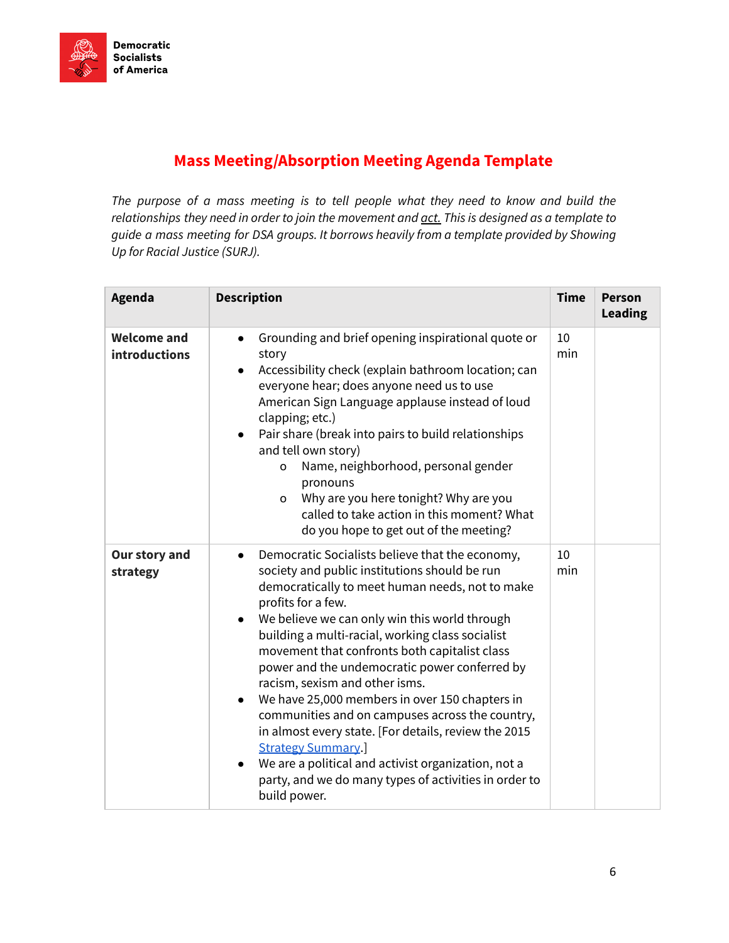### <span id="page-5-0"></span>Mass Meeting/Absorption Meeting Agenda Template

The purpose of a mass meeting is to tell people what they need to know and build the relationships they need in order to join the movement and act. This is designed as a template to guide a mass meeting for DSA groups. It borrows heavily from a template provided by Showing Up for Racial Justice (SURJ).

| Agenda                                     | <b>Description</b>                                                                                                                                                                                                                                                                                                                                                                                                                                                                                                                                                                                                                                                                                                                                                                 | <b>Time</b> | <b>Person</b><br><b>Leading</b> |
|--------------------------------------------|------------------------------------------------------------------------------------------------------------------------------------------------------------------------------------------------------------------------------------------------------------------------------------------------------------------------------------------------------------------------------------------------------------------------------------------------------------------------------------------------------------------------------------------------------------------------------------------------------------------------------------------------------------------------------------------------------------------------------------------------------------------------------------|-------------|---------------------------------|
| <b>Welcome and</b><br><b>introductions</b> | Grounding and brief opening inspirational quote or<br>$\bullet$<br>story<br>Accessibility check (explain bathroom location; can<br>everyone hear; does anyone need us to use<br>American Sign Language applause instead of loud<br>clapping; etc.)<br>Pair share (break into pairs to build relationships<br>$\bullet$<br>and tell own story)<br>Name, neighborhood, personal gender<br>o<br>pronouns<br>Why are you here tonight? Why are you<br>$\circ$<br>called to take action in this moment? What<br>do you hope to get out of the meeting?                                                                                                                                                                                                                                  | 10<br>min   |                                 |
| Our story and<br>strategy                  | Democratic Socialists believe that the economy,<br>$\bullet$<br>society and public institutions should be run<br>democratically to meet human needs, not to make<br>profits for a few.<br>We believe we can only win this world through<br>$\bullet$<br>building a multi-racial, working class socialist<br>movement that confronts both capitalist class<br>power and the undemocratic power conferred by<br>racism, sexism and other isms.<br>We have 25,000 members in over 150 chapters in<br>$\bullet$<br>communities and on campuses across the country,<br>in almost every state. [For details, review the 2015<br><b>Strategy Summary.</b><br>We are a political and activist organization, not a<br>party, and we do many types of activities in order to<br>build power. | 10<br>min   |                                 |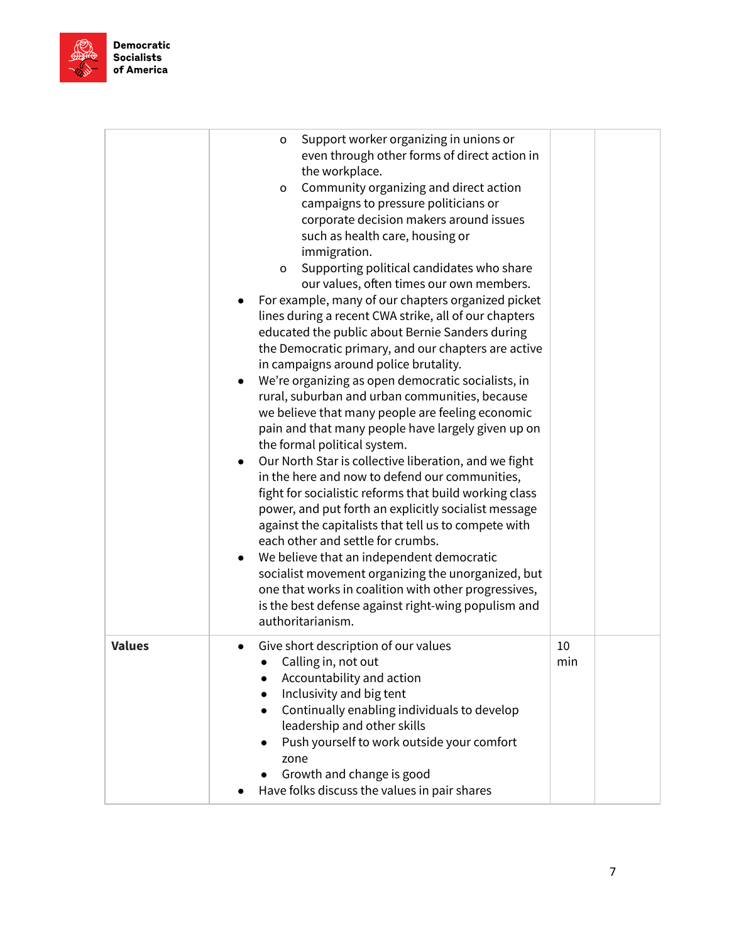

|               | Support worker organizing in unions or<br>o<br>even through other forms of direct action in<br>the workplace.<br>Community organizing and direct action<br>$\mathsf{o}\xspace$<br>campaigns to pressure politicians or<br>corporate decision makers around issues<br>such as health care, housing or<br>immigration.<br>Supporting political candidates who share<br>o<br>our values, often times our own members.<br>For example, many of our chapters organized picket<br>lines during a recent CWA strike, all of our chapters<br>educated the public about Bernie Sanders during<br>the Democratic primary, and our chapters are active<br>in campaigns around police brutality.<br>We're organizing as open democratic socialists, in<br>$\bullet$<br>rural, suburban and urban communities, because<br>we believe that many people are feeling economic<br>pain and that many people have largely given up on<br>the formal political system.<br>Our North Star is collective liberation, and we fight<br>in the here and now to defend our communities,<br>fight for socialistic reforms that build working class<br>power, and put forth an explicitly socialist message<br>against the capitalists that tell us to compete with<br>each other and settle for crumbs.<br>We believe that an independent democratic<br>socialist movement organizing the unorganized, but<br>one that works in coalition with other progressives,<br>is the best defense against right-wing populism and<br>authoritarianism. |           |  |
|---------------|----------------------------------------------------------------------------------------------------------------------------------------------------------------------------------------------------------------------------------------------------------------------------------------------------------------------------------------------------------------------------------------------------------------------------------------------------------------------------------------------------------------------------------------------------------------------------------------------------------------------------------------------------------------------------------------------------------------------------------------------------------------------------------------------------------------------------------------------------------------------------------------------------------------------------------------------------------------------------------------------------------------------------------------------------------------------------------------------------------------------------------------------------------------------------------------------------------------------------------------------------------------------------------------------------------------------------------------------------------------------------------------------------------------------------------------------------------------------------------------------------------------------|-----------|--|
| <b>Values</b> | Give short description of our values<br>$\bullet$<br>Calling in, not out<br>Accountability and action<br>Inclusivity and big tent<br>Continually enabling individuals to develop<br>$\bullet$<br>leadership and other skills<br>Push yourself to work outside your comfort<br>$\bullet$<br>zone<br>Growth and change is good<br>Have folks discuss the values in pair shares                                                                                                                                                                                                                                                                                                                                                                                                                                                                                                                                                                                                                                                                                                                                                                                                                                                                                                                                                                                                                                                                                                                                         | 10<br>min |  |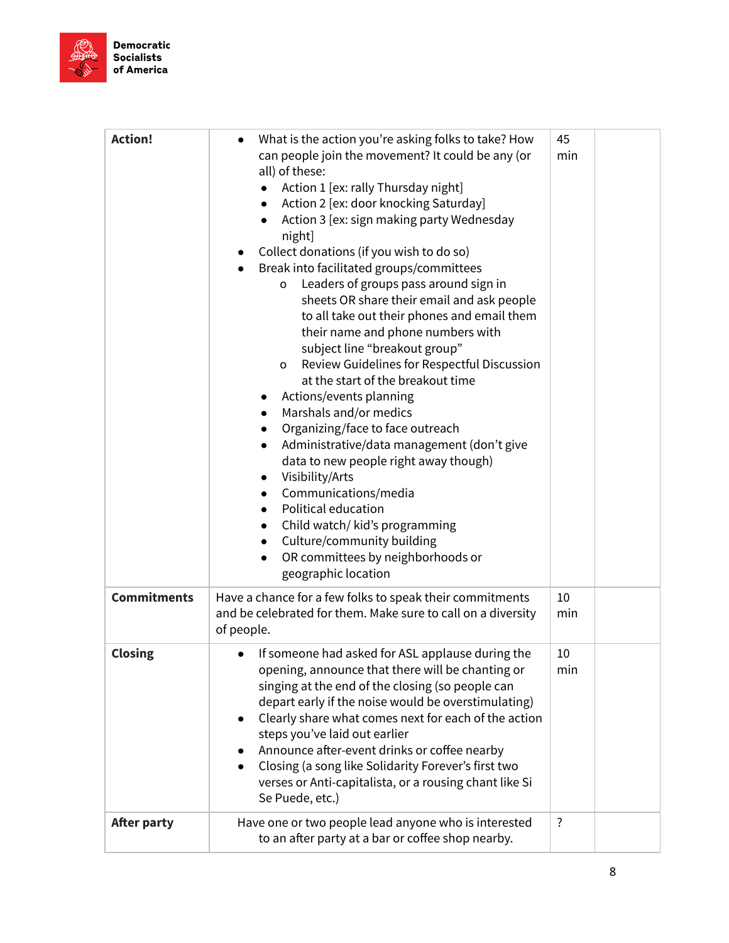

| <b>Action!</b>     | What is the action you're asking folks to take? How<br>$\bullet$<br>can people join the movement? It could be any (or<br>all) of these:<br>Action 1 [ex: rally Thursday night]<br>Action 2 [ex: door knocking Saturday]<br>$\bullet$<br>Action 3 [ex: sign making party Wednesday<br>night]<br>Collect donations (if you wish to do so)<br>Break into facilitated groups/committees<br>Leaders of groups pass around sign in<br>o<br>sheets OR share their email and ask people<br>to all take out their phones and email them<br>their name and phone numbers with<br>subject line "breakout group"<br>Review Guidelines for Respectful Discussion<br>o<br>at the start of the breakout time<br>Actions/events planning<br>$\bullet$<br>Marshals and/or medics<br>$\bullet$<br>Organizing/face to face outreach<br>$\bullet$<br>Administrative/data management (don't give<br>$\bullet$<br>data to new people right away though)<br>Visibility/Arts<br>$\bullet$<br>Communications/media<br>$\bullet$<br>Political education<br>$\bullet$<br>Child watch/ kid's programming<br>$\bullet$<br>Culture/community building<br>$\bullet$<br>OR committees by neighborhoods or<br>$\bullet$ | 45<br>min      |  |
|--------------------|----------------------------------------------------------------------------------------------------------------------------------------------------------------------------------------------------------------------------------------------------------------------------------------------------------------------------------------------------------------------------------------------------------------------------------------------------------------------------------------------------------------------------------------------------------------------------------------------------------------------------------------------------------------------------------------------------------------------------------------------------------------------------------------------------------------------------------------------------------------------------------------------------------------------------------------------------------------------------------------------------------------------------------------------------------------------------------------------------------------------------------------------------------------------------------------|----------------|--|
| <b>Commitments</b> | geographic location<br>Have a chance for a few folks to speak their commitments<br>and be celebrated for them. Make sure to call on a diversity<br>of people.                                                                                                                                                                                                                                                                                                                                                                                                                                                                                                                                                                                                                                                                                                                                                                                                                                                                                                                                                                                                                          | 10<br>min      |  |
| <b>Closing</b>     | If someone had asked for ASL applause during the<br>opening, announce that there will be chanting or<br>singing at the end of the closing (so people can<br>depart early if the noise would be overstimulating)<br>Clearly share what comes next for each of the action<br>steps you've laid out earlier<br>Announce after-event drinks or coffee nearby<br>Closing (a song like Solidarity Forever's first two<br>$\bullet$<br>verses or Anti-capitalista, or a rousing chant like Si<br>Se Puede, etc.)                                                                                                                                                                                                                                                                                                                                                                                                                                                                                                                                                                                                                                                                              | 10<br>min      |  |
| <b>After party</b> | Have one or two people lead anyone who is interested<br>to an after party at a bar or coffee shop nearby.                                                                                                                                                                                                                                                                                                                                                                                                                                                                                                                                                                                                                                                                                                                                                                                                                                                                                                                                                                                                                                                                              | $\ddot{\cdot}$ |  |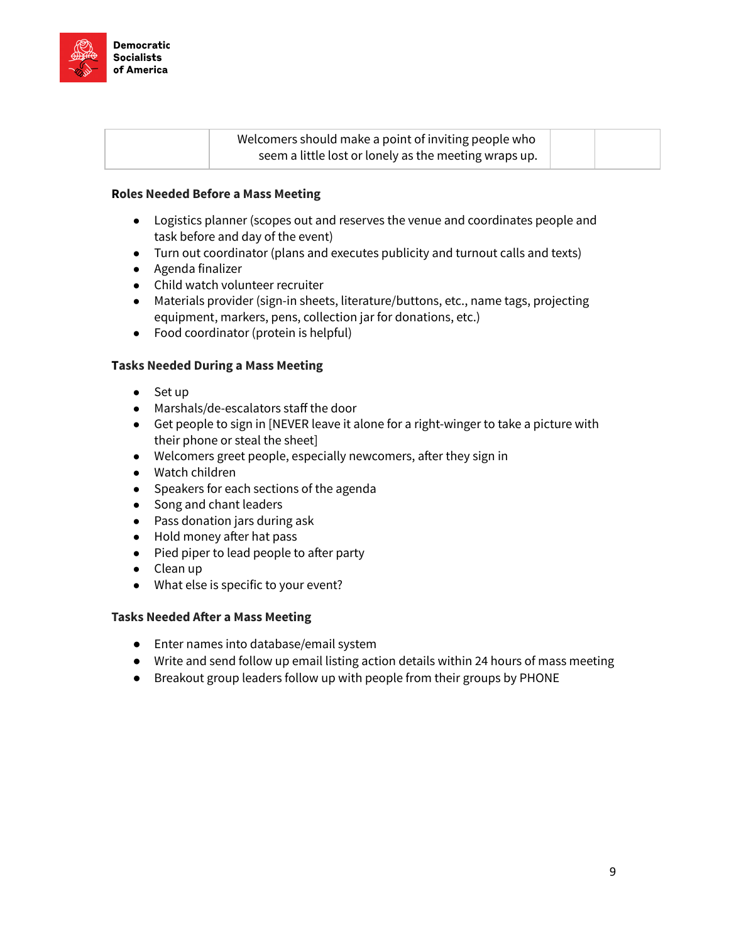

| Welcomers should make a point of inviting people who  |  |
|-------------------------------------------------------|--|
| seem a little lost or lonely as the meeting wraps up. |  |

### Roles Needed Before a Mass Meeting

- Logistics planner (scopes out and reserves the venue and coordinates people and task before and day of the event)
- Turn out coordinator (plans and executes publicity and turnout calls and texts)
- Agenda finalizer
- Child watch volunteer recruiter
- Materials provider (sign-in sheets, literature/buttons, etc., name tags, projecting equipment, markers, pens, collection jar for donations, etc.)
- Food coordinator (protein is helpful)

### Tasks Needed During a Mass Meeting

- Set up
- Marshals/de-escalators staff the door
- Get people to sign in [NEVER leave it alone for a right-winger to take a picture with their phone or steal the sheet]
- Welcomers greet people, especially newcomers, after they sign in
- Watch children
- Speakers for each sections of the agenda
- Song and chant leaders
- Pass donation jars during ask
- Hold money after hat pass
- $\bullet$  Pied piper to lead people to after party
- Clean up
- What else is specific to your event?

### Tasks Needed After a Mass Meeting

- Enter names into database/email system
- Write and send follow up email listing action details within 24 hours of mass meeting
- Breakout group leaders follow up with people from their groups by PHONE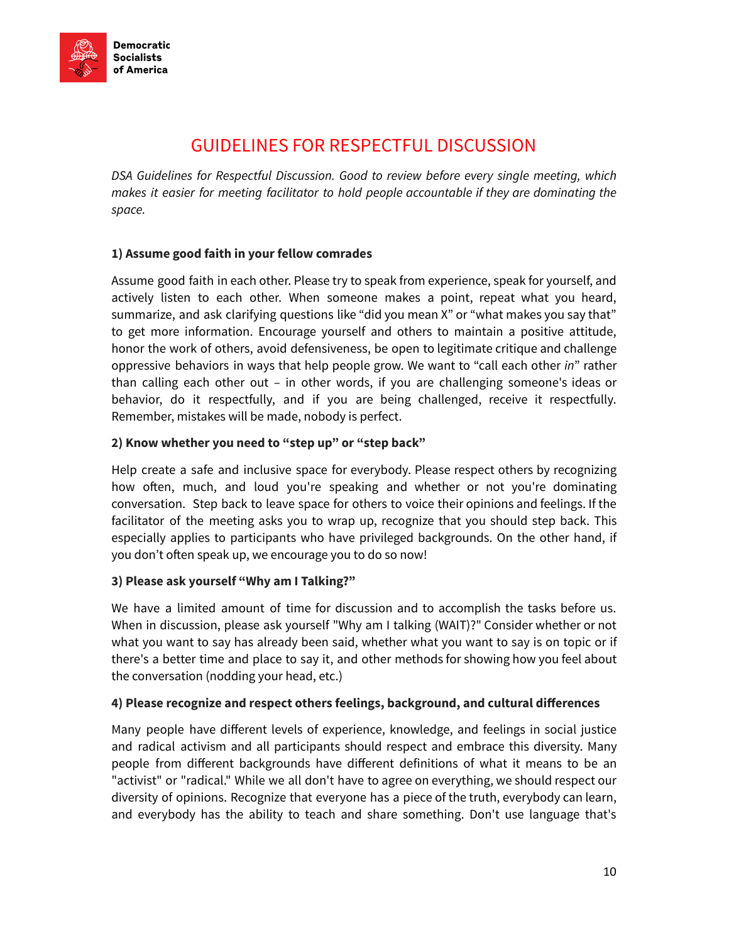

## GUIDELINES FOR RESPECTFUL DISCUSSION

<span id="page-9-0"></span>DSA Guidelines for Respectful Discussion. Good to review before every single meeting, which makes it easier for meeting facilitator to hold people accountable if they are dominating the space.

### 1) Assume good faith in your fellow comrades

Assume good faith in each other. Please try to speak from experience, speak for yourself, and actively listen to each other. When someone makes a point, repeat what you heard, summarize, and ask clarifying questions like "did you mean X" or "what makes you say that" to get more information. Encourage yourself and others to maintain a positive attitude, honor the work of others, avoid defensiveness, be open to legitimate critique and challenge oppressive behaviors in ways that help people grow. We want to "call each other in" rather than calling each other out – in other words, if you are challenging someone's ideas or behavior, do it respectfully, and if you are being challenged, receive it respectfully. Remember, mistakes will be made, nobody is perfect.

### 2) Know whether you need to "step up" or "step back"

Help create a safe and inclusive space for everybody. Please respect others by recognizing how often, much, and loud you're speaking and whether or not you're dominating conversation. Step back to leave space for others to voice their opinions and feelings. If the facilitator of the meeting asks you to wrap up, recognize that you should step back. This especially applies to participants who have privileged backgrounds. On the other hand, if you don't often speak up, we encourage you to do so now!

### 3) Please ask yourself "Why am I Talking?"

We have a limited amount of time for discussion and to accomplish the tasks before us. When in discussion, please ask yourself "Why am I talking (WAIT)?" Consider whether or not what you want to say has already been said, whether what you want to say is on topic or if there's a better time and place to say it, and other methods for showing how you feel about the conversation (nodding your head, etc.)

### 4) Please recognize and respect others feelings, background, and cultural differences

Many people have different levels of experience, knowledge, and feelings in social justice and radical activism and all participants should respect and embrace this diversity. Many people from different backgrounds have different definitions of what it means to be an "activist" or "radical." While we all don't have to agree on everything, we should respect our diversity of opinions. Recognize that everyone has a piece of the truth, everybody can learn, and everybody has the ability to teach and share something. Don't use language that's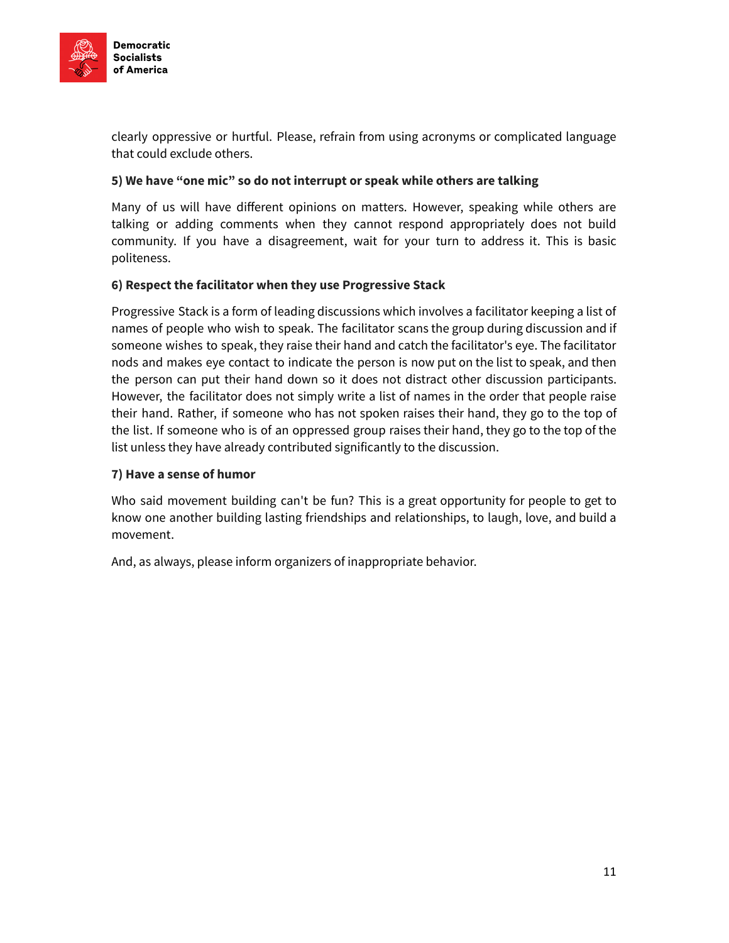

clearly oppressive or hurtful. Please, refrain from using acronyms or complicated language that could exclude others.

### 5) We have "one mic" so do not interrupt or speak while others are talking

Many of us will have different opinions on matters. However, speaking while others are talking or adding comments when they cannot respond appropriately does not build community. If you have a disagreement, wait for your turn to address it. This is basic politeness.

### 6) Respect the facilitator when they use Progressive Stack

Progressive Stack is a form of leading discussions which involves a facilitator keeping a list of names of people who wish to speak. The facilitator scans the group during discussion and if someone wishes to speak, they raise their hand and catch the facilitator's eye. The facilitator nods and makes eye contact to indicate the person is now put on the list to speak, and then the person can put their hand down so it does not distract other discussion participants. However, the facilitator does not simply write a list of names in the order that people raise their hand. Rather, if someone who has not spoken raises their hand, they go to the top of the list. If someone who is of an oppressed group raises their hand, they go to the top of the list unless they have already contributed significantly to the discussion.

### 7) Have a sense of humor

Who said movement building can't be fun? This is a great opportunity for people to get to know one another building lasting friendships and relationships, to laugh, love, and build a movement.

And, as always, please inform organizers of inappropriate behavior.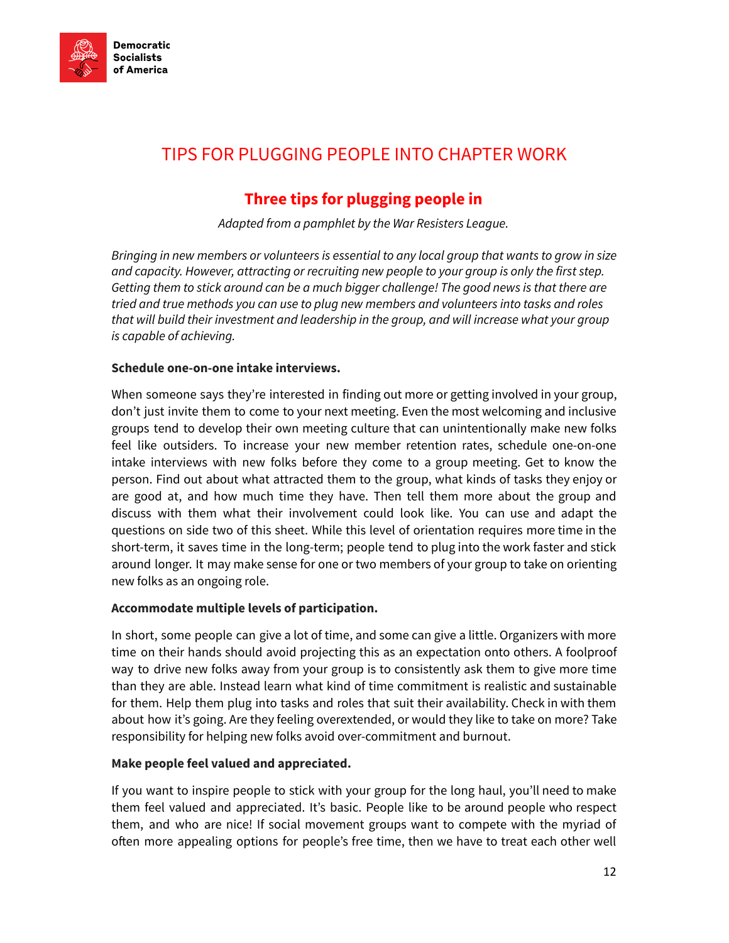

# <span id="page-11-0"></span>TIPS FOR PLUGGING PEOPLE INTO CHAPTER WORK

### Three tips for plugging people in

Adapted from a pamphlet by the War Resisters League.

Bringing in new members or volunteers is essential to any local group that wants to grow in size and capacity. However, attracting or recruiting new people to your group is only the first step. Getting them to stick around can be a much bigger challenge! The good news is that there are tried and true methods you can use to plug new members and volunteers into tasks and roles that will build their investment and leadership in the group, and will increase what your group is capable of achieving.

### Schedule one-on-one intake interviews.

When someone says they're interested in finding out more or getting involved in your group, don't just invite them to come to your next meeting. Even the most welcoming and inclusive groups tend to develop their own meeting culture that can unintentionally make new folks feel like outsiders. To increase your new member retention rates, schedule one-on-one intake interviews with new folks before they come to a group meeting. Get to know the person. Find out about what attracted them to the group, what kinds of tasks they enjoy or are good at, and how much time they have. Then tell them more about the group and discuss with them what their involvement could look like. You can use and adapt the questions on side two of this sheet. While this level of orientation requires more time in the short-term, it saves time in the long-term; people tend to plug into the work faster and stick around longer. It may make sense for one or two members of your group to take on orienting new folks as an ongoing role.

### Accommodate multiple levels of participation.

In short, some people can give a lot of time, and some can give a little. Organizers with more time on their hands should avoid projecting this as an expectation onto others. A foolproof way to drive new folks away from your group is to consistently ask them to give more time than they are able. Instead learn what kind of time commitment is realistic and sustainable for them. Help them plug into tasks and roles that suit their availability. Check in with them about how it's going. Are they feeling overextended, or would they like to take on more? Take responsibility for helping new folks avoid over-commitment and burnout.

### Make people feel valued and appreciated.

If you want to inspire people to stick with your group for the long haul, you'll need to make them feel valued and appreciated. It's basic. People like to be around people who respect them, and who are nice! If social movement groups want to compete with the myriad of often more appealing options for people's free time, then we have to treat each other well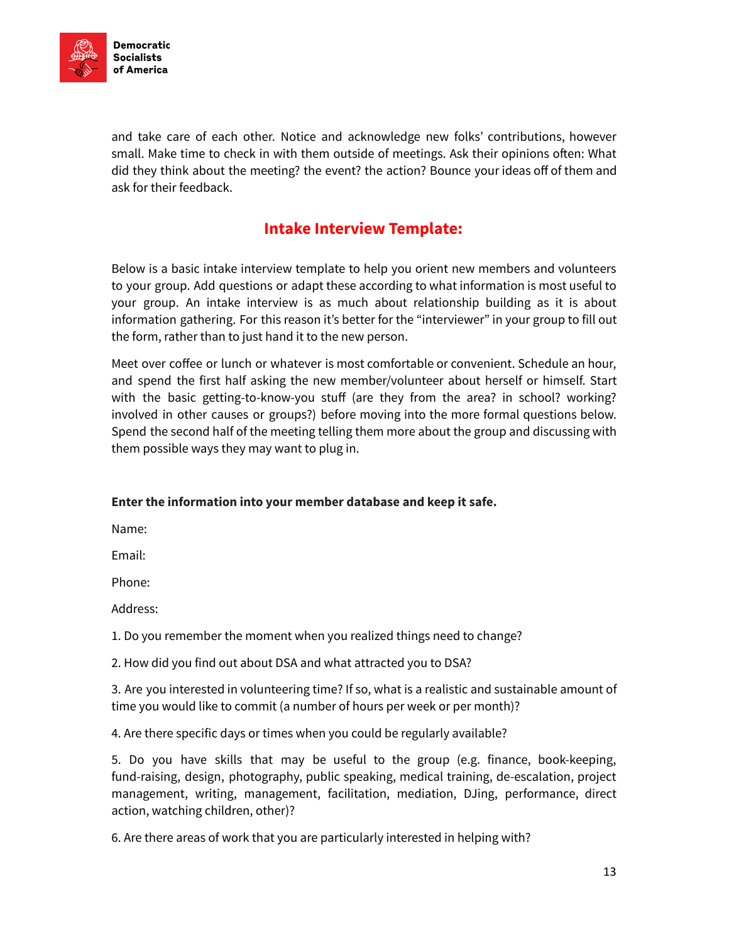

and take care of each other. Notice and acknowledge new folks' contributions, however small. Make time to check in with them outside of meetings. Ask their opinions often: What did they think about the meeting? the event? the action? Bounce your ideas off of them and ask for their feedback.

### Intake Interview Template:

<span id="page-12-0"></span>Below is a basic intake interview template to help you orient new members and volunteers to your group. Add questions or adapt these according to what information is most useful to your group. An intake interview is as much about relationship building as it is about information gathering. For this reason it's better for the "interviewer" in your group to fill out the form, rather than to just hand it to the new person.

Meet over coffee or lunch or whatever is most comfortable or convenient. Schedule an hour, and spend the first half asking the new member/volunteer about herself or himself. Start with the basic getting-to-know-you stuff (are they from the area? in school? working? involved in other causes or groups?) before moving into the more formal questions below. Spend the second half of the meeting telling them more about the group and discussing with them possible ways they may want to plug in.

### Enter the information into your member database and keep it safe.

Name:

Email:

Phone:

Address:

1. Do you remember the moment when you realized things need to change?

2. How did you find out about DSA and what attracted you to DSA?

3. Are you interested in volunteering time? If so, what is a realistic and sustainable amount of time you would like to commit (a number of hours per week or per month)?

4. Are there specific days or times when you could be regularly available?

5. Do you have skills that may be useful to the group (e.g. finance, book-keeping, fund-raising, design, photography, public speaking, medical training, de-escalation, project management, writing, management, facilitation, mediation, DJing, performance, direct action, watching children, other)?

6. Are there areas of work that you are particularly interested in helping with?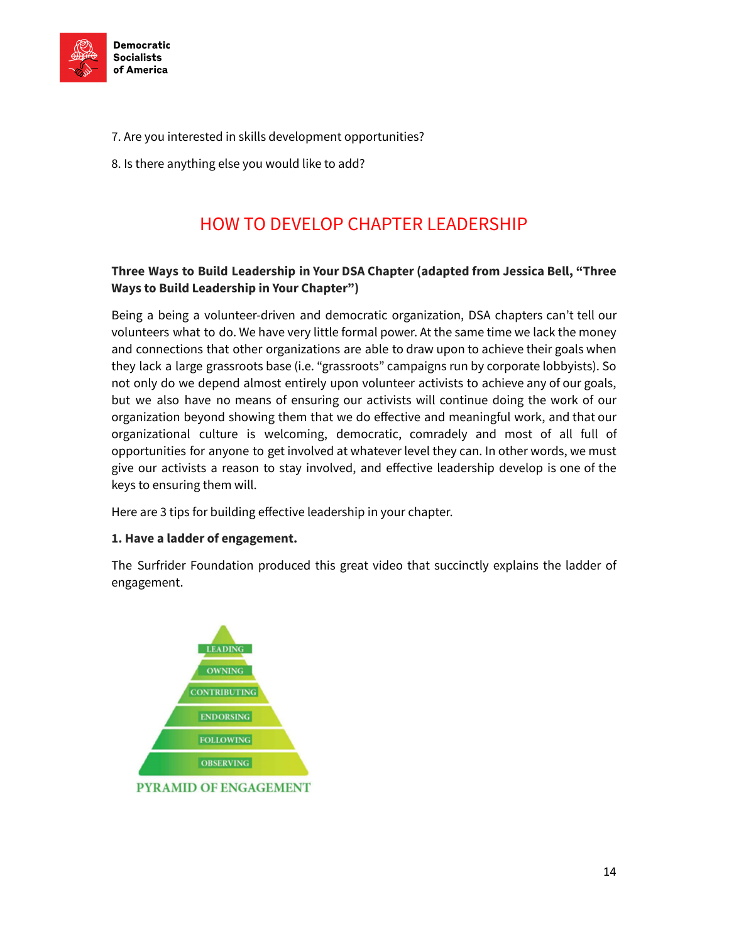

- 7. Are you interested in skills development opportunities?
- <span id="page-13-0"></span>8. Is there anything else you would like to add?

# HOW TO DEVELOP CHAPTER LEADERSHIP

### Three Ways to Build Leadership in Your DSA Chapter (adapted from Jessica Bell, "Three Ways to Build Leadership in Your Chapter")

Being a being a volunteer-driven and democratic organization, DSA chapters can't tell our volunteers what to do. We have very little formal power. At the same time we lack the money and connections that other organizations are able to draw upon to achieve their goals when they lack a large grassroots base (i.e. "grassroots" campaigns run by corporate lobbyists). So not only do we depend almost entirely upon volunteer activists to achieve any of our goals, but we also have no means of ensuring our activists will continue doing the work of our organization beyond showing them that we do effective and meaningful work, and that our organizational culture is welcoming, democratic, comradely and most of all full of opportunities for anyone to get involved at whatever level they can. In other words, we must give our activists a reason to stay involved, and effective leadership develop is one of the keys to ensuring them will.

Here are 3 tips for building effective leadership in your chapter.

### 1. Have a ladder of engagement.

The Surfrider Foundation produced this great video that succinctly explains the ladder of engagement.

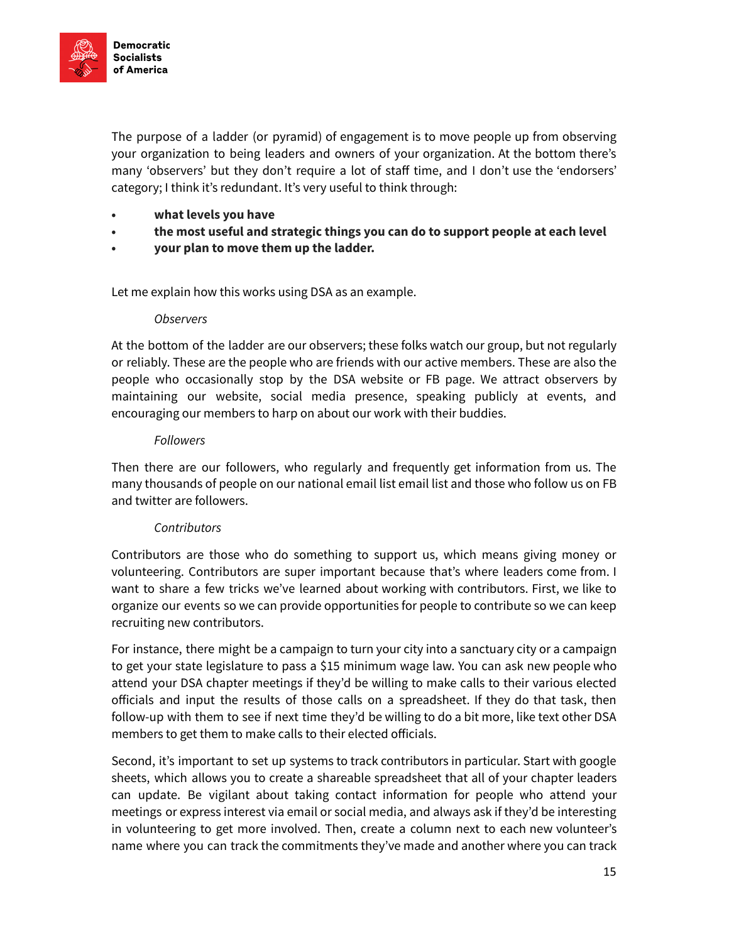

The purpose of a ladder (or pyramid) of engagement is to move people up from observing your organization to being leaders and owners of your organization. At the bottom there's many 'observers' but they don't require a lot of staff time, and I don't use the 'endorsers' category; I think it's redundant. It's very useful to think through:

- what levels you have
- the most useful and strategic things you can do to support people at each level
- your plan to move them up the ladder.

Let me explain how this works using DSA as an example.

### **Observers**

At the bottom of the ladder are our observers; these folks watch our group, but not regularly or reliably. These are the people who are friends with our active members. These are also the people who occasionally stop by the DSA website or FB page. We attract observers by maintaining our website, social media presence, speaking publicly at events, and encouraging our members to harp on about our work with their buddies.

### Followers

Then there are our followers, who regularly and frequently get information from us. The many thousands of people on our national email list email list and those who follow us on FB and twitter are followers.

### **Contributors**

Contributors are those who do something to support us, which means giving money or volunteering. Contributors are super important because that's where leaders come from. I want to share a few tricks we've learned about working with contributors. First, we like to organize our events so we can provide opportunities for people to contribute so we can keep recruiting new contributors.

For instance, there might be a campaign to turn your city into a sanctuary city or a campaign to get your state legislature to pass a \$15 minimum wage law. You can ask new people who attend your DSA chapter meetings if they'd be willing to make calls to their various elected officials and input the results of those calls on a spreadsheet. If they do that task, then follow-up with them to see if next time they'd be willing to do a bit more, like text other DSA members to get them to make calls to their elected officials.

Second, it's important to set up systems to track contributors in particular. Start with google sheets, which allows you to create a shareable spreadsheet that all of your chapter leaders can update. Be vigilant about taking contact information for people who attend your meetings or express interest via email or social media, and always ask if they'd be interesting in volunteering to get more involved. Then, create a column next to each new volunteer's name where you can track the commitments they've made and another where you can track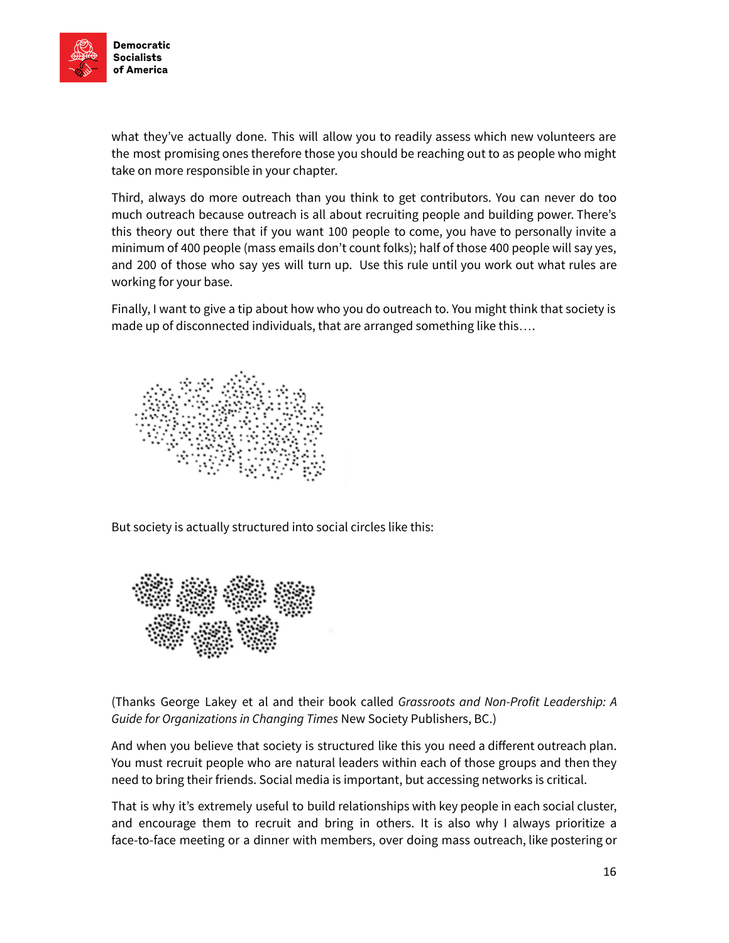

what they've actually done. This will allow you to readily assess which new volunteers are the most promising ones therefore those you should be reaching out to as people who might take on more responsible in your chapter.

Third, always do more outreach than you think to get contributors. You can never do too much outreach because outreach is all about recruiting people and building power. There's this theory out there that if you want 100 people to come, you have to personally invite a minimum of 400 people (mass emails don't count folks); half of those 400 people will say yes, and 200 of those who say yes will turn up. Use this rule until you work out what rules are working for your base.

Finally, I want to give a tip about how who you do outreach to. You might think that society is made up of disconnected individuals, that are arranged something like this….



But society is actually structured into social circles like this:



(Thanks George Lakey et al and their book called Grassroots and Non-Profit Leadership: A Guide for Organizations in Changing Times New Society Publishers, BC.)

And when you believe that society is structured like this you need a different outreach plan. You must recruit people who are natural leaders within each of those groups and then they need to bring their friends. Social media is important, but accessing networks is critical.

That is why it's extremely useful to build relationships with key people in each social cluster, and encourage them to recruit and bring in others. It is also why I always prioritize a face-to-face meeting or a dinner with members, over doing mass outreach, like postering or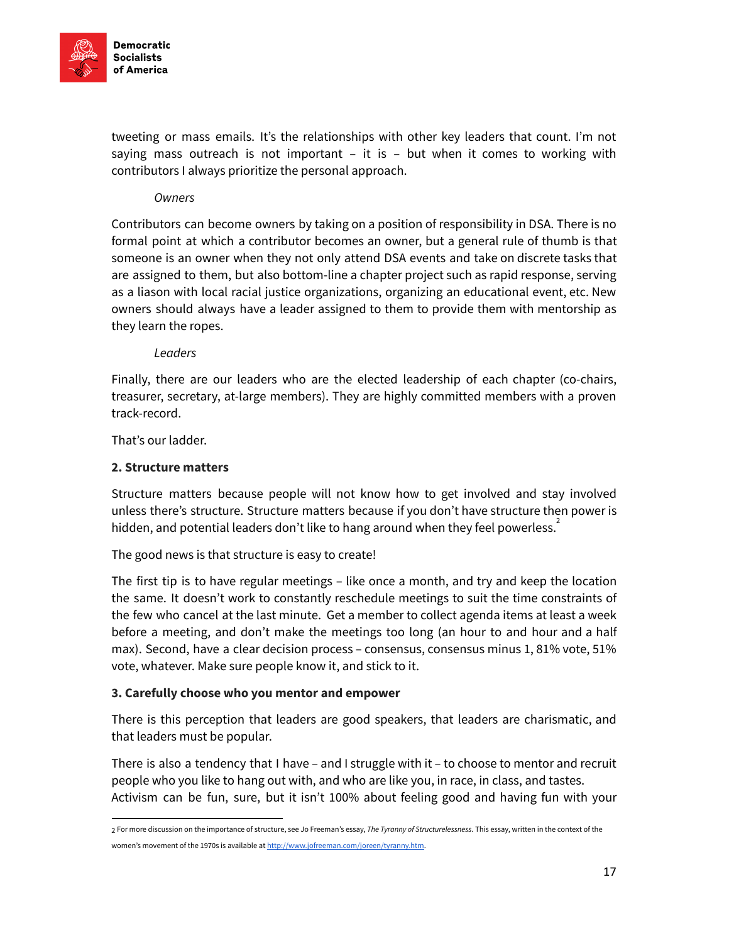

tweeting or mass emails. It's the relationships with other key leaders that count. I'm not saying mass outreach is not important  $-$  it is  $-$  but when it comes to working with contributors I always prioritize the personal approach.

### **Owners**

Contributors can become owners by taking on a position of responsibility in DSA. There is no formal point at which a contributor becomes an owner, but a general rule of thumb is that someone is an owner when they not only attend DSA events and take on discrete tasks that are assigned to them, but also bottom-line a chapter project such as rapid response, serving as a liason with local racial justice organizations, organizing an educational event, etc. New owners should always have a leader assigned to them to provide them with mentorship as they learn the ropes.

### Leaders

Finally, there are our leaders who are the elected leadership of each chapter (co-chairs, treasurer, secretary, at-large members). They are highly committed members with a proven track-record.

That's our ladder.

### 2. Structure matters

Structure matters because people will not know how to get involved and stay involved unless there's structure. Structure matters because if you don't have structure then power is hidden, and potential leaders don't like to hang around when they feel powerless.<sup>2</sup>

The good news is that structure is easy to create!

The first tip is to have regular meetings – like once a month, and try and keep the location the same. It doesn't work to constantly reschedule meetings to suit the time constraints of the few who cancel at the last minute. Get a member to collect agenda items at least a week before a meeting, and don't make the meetings too long (an hour to and hour and a half max). Second, have a clear decision process – consensus, consensus minus 1, 81% vote, 51% vote, whatever. Make sure people know it, and stick to it.

### 3. Carefully choose who you mentor and empower

There is this perception that leaders are good speakers, that leaders are charismatic, and that leaders must be popular.

There is also a tendency that I have – and I struggle with it – to choose to mentor and recruit people who you like to hang out with, and who are like you, in race, in class, and tastes. Activism can be fun, sure, but it isn't 100% about feeling good and having fun with your

<sup>2</sup> For more discussion on the importance of structure, see Jo Freeman's essay, The Tyranny of Structurelessness. This essay, written in the context of the women's movement of the 1970s is available at <http://www.jofreeman.com/joreen/tyranny.htm>.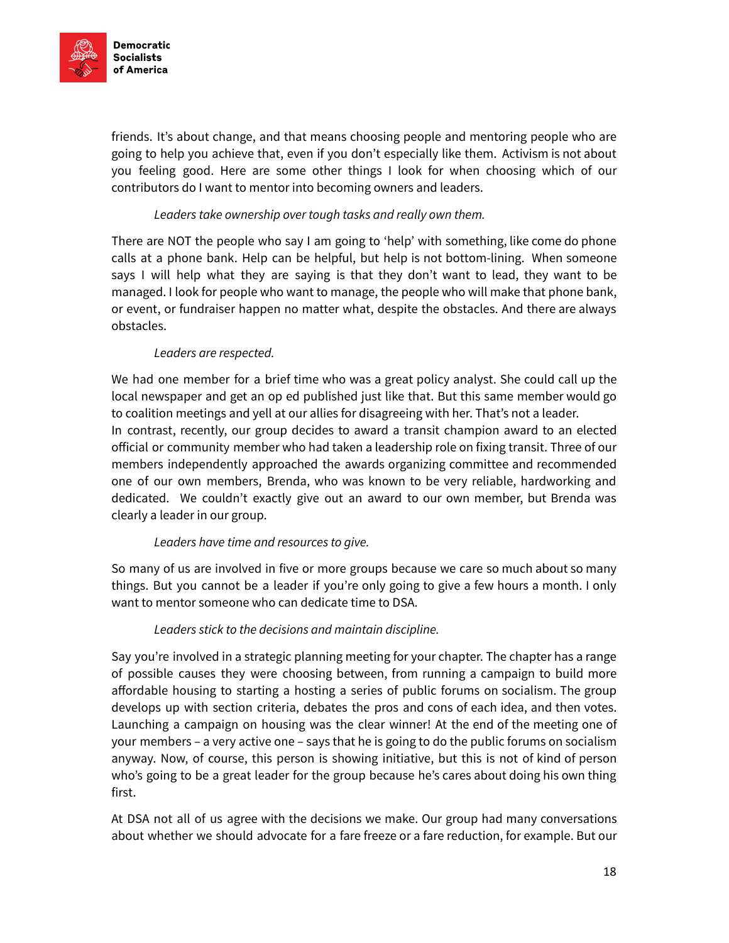

friends. It's about change, and that means choosing people and mentoring people who are going to help you achieve that, even if you don't especially like them. Activism is not about you feeling good. Here are some other things I look for when choosing which of our contributors do I want to mentor into becoming owners and leaders.

### Leaders take ownership over tough tasks and really own them.

There are NOT the people who say I am going to 'help' with something, like come do phone calls at a phone bank. Help can be helpful, but help is not bottom-lining. When someone says I will help what they are saying is that they don't want to lead, they want to be managed. I look for people who want to manage, the people who will make that phone bank, or event, or fundraiser happen no matter what, despite the obstacles. And there are always obstacles.

### Leaders are respected.

We had one member for a brief time who was a great policy analyst. She could call up the local newspaper and get an op ed published just like that. But this same member would go to coalition meetings and yell at our allies for disagreeing with her. That's not a leader. In contrast, recently, our group decides to award a transit champion award to an elected official or community member who had taken a leadership role on fixing transit. Three of our members independently approached the awards organizing committee and recommended one of our own members, Brenda, who was known to be very reliable, hardworking and dedicated. We couldn't exactly give out an award to our own member, but Brenda was clearly a leader in our group.

### Leaders have time and resources to give.

So many of us are involved in five or more groups because we care so much about so many things. But you cannot be a leader if you're only going to give a few hours a month. I only want to mentor someone who can dedicate time to DSA.

### Leaders stick to the decisions and maintain discipline.

Say you're involved in a strategic planning meeting for your chapter. The chapter has a range of possible causes they were choosing between, from running a campaign to build more affordable housing to starting a hosting a series of public forums on socialism. The group develops up with section criteria, debates the pros and cons of each idea, and then votes. Launching a campaign on housing was the clear winner! At the end of the meeting one of your members – a very active one – says that he is going to do the public forums on socialism anyway. Now, of course, this person is showing initiative, but this is not of kind of person who's going to be a great leader for the group because he's cares about doing his own thing first.

At DSA not all of us agree with the decisions we make. Our group had many conversations about whether we should advocate for a fare freeze or a fare reduction, for example. But our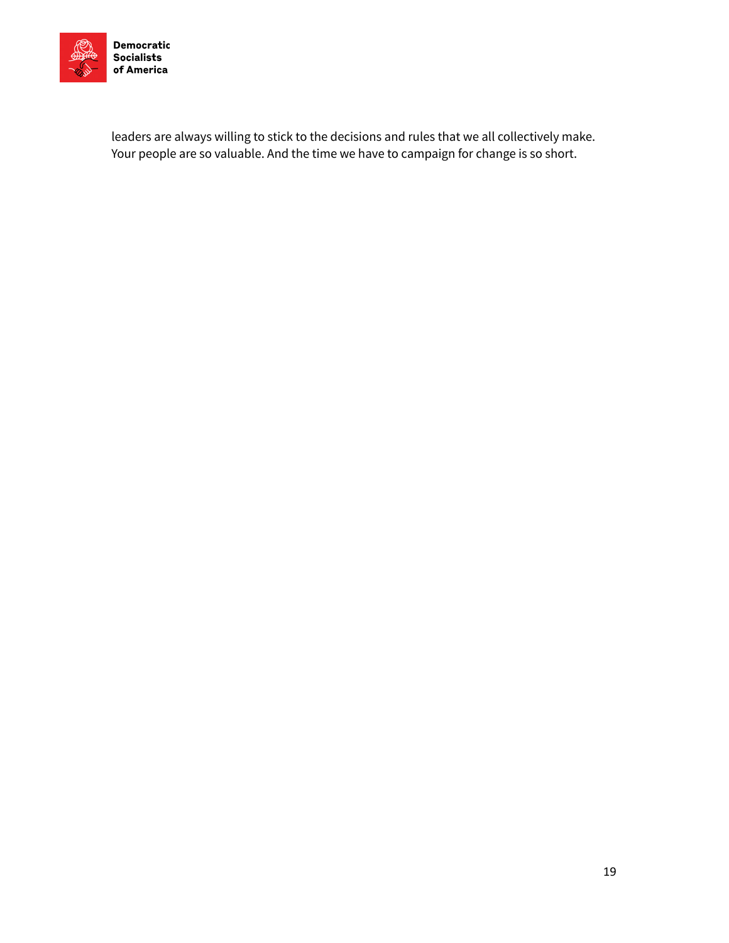

Socialists

leaders are always willing to stick to the decisions and rules that we all collectively make. Your people are so valuable. And the time we have to campaign for change is so short.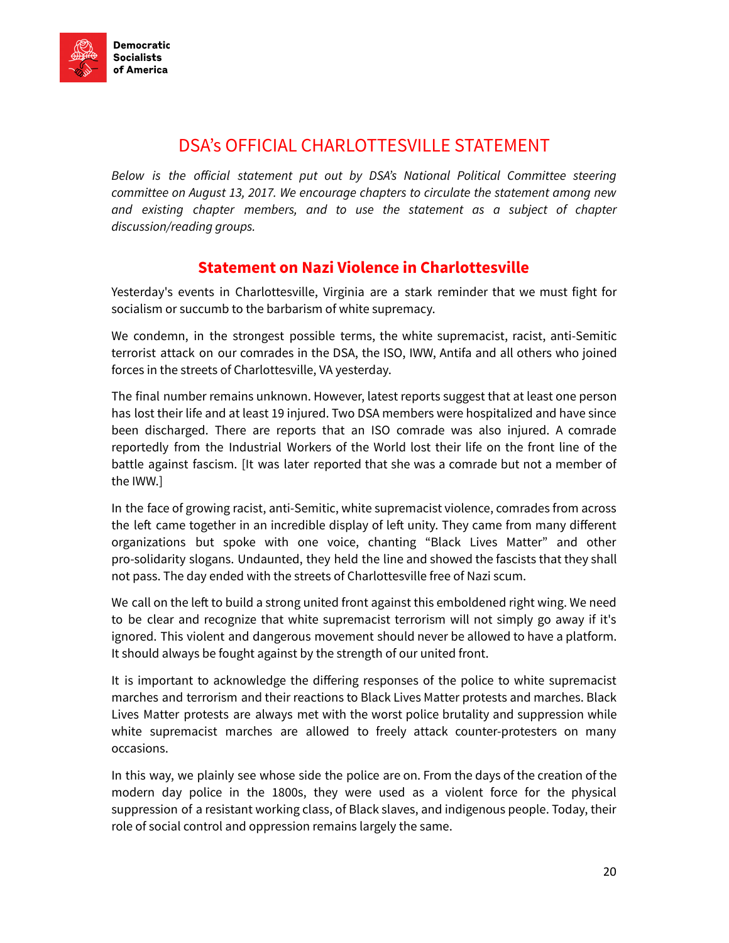

# DSA's OFFICIAL CHARLOTTESVILLE STATEMENT

<span id="page-19-0"></span>Below is the official statement put out by DSA's National Political Committee steering committee on August 13, 2017. We encourage chapters to circulate the statement among new and existing chapter members, and to use the statement as a subject of chapter discussion/reading groups.

### Statement on Nazi Violence in Charlottesville

Yesterday's events in Charlottesville, Virginia are a stark reminder that we must fight for socialism or succumb to the barbarism of white supremacy.

We condemn, in the strongest possible terms, the white supremacist, racist, anti-Semitic terrorist attack on our comrades in the DSA, the ISO, IWW, Antifa and all others who joined forces in the streets of Charlottesville, VA yesterday.

The final number remains unknown. However, latest reports suggest that at least one person has lost their life and at least 19 injured. Two DSA members were hospitalized and have since been discharged. There are reports that an ISO comrade was also injured. A comrade reportedly from the Industrial Workers of the World lost their life on the front line of the battle against fascism. [It was later reported that she was a comrade but not a member of the IWW.]

In the face of growing racist, anti-Semitic, white supremacist violence, comrades from across the left came together in an incredible display of left unity. They came from many different organizations but spoke with one voice, chanting "Black Lives Matter" and other pro-solidarity slogans. Undaunted, they held the line and showed the fascists that they shall not pass. The day ended with the streets of Charlottesville free of Nazi scum.

We call on the left to build a strong united front against this emboldened right wing. We need to be clear and recognize that white supremacist terrorism will not simply go away if it's ignored. This violent and dangerous movement should never be allowed to have a platform. It should always be fought against by the strength of our united front.

It is important to acknowledge the differing responses of the police to white supremacist marches and terrorism and their reactions to Black Lives Matter protests and marches. Black Lives Matter protests are always met with the worst police brutality and suppression while white supremacist marches are allowed to freely attack counter-protesters on many occasions.

In this way, we plainly see whose side the police are on. From the days of the creation of the modern day police in the 1800s, they were used as a violent force for the physical suppression of a resistant working class, of Black slaves, and indigenous people. Today, their role of social control and oppression remains largely the same.